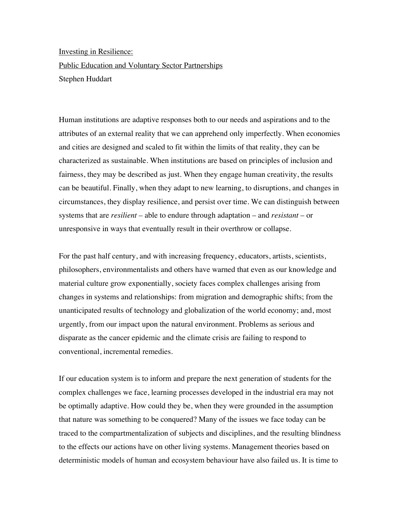Investing in Resilience: Public Education and Voluntary Sector Partnerships Stephen Huddart

Human institutions are adaptive responses both to our needs and aspirations and to the attributes of an external reality that we can apprehend only imperfectly. When economies and cities are designed and scaled to fit within the limits of that reality, they can be characterized as sustainable. When institutions are based on principles of inclusion and fairness, they may be described as just. When they engage human creativity, the results can be beautiful. Finally, when they adapt to new learning, to disruptions, and changes in circumstances, they display resilience, and persist over time. We can distinguish between systems that are *resilient –* able to endure through adaptation – and *resistant* – or unresponsive in ways that eventually result in their overthrow or collapse.

For the past half century, and with increasing frequency, educators, artists, scientists, philosophers, environmentalists and others have warned that even as our knowledge and material culture grow exponentially, society faces complex challenges arising from changes in systems and relationships: from migration and demographic shifts; from the unanticipated results of technology and globalization of the world economy; and, most urgently, from our impact upon the natural environment. Problems as serious and disparate as the cancer epidemic and the climate crisis are failing to respond to conventional, incremental remedies.

If our education system is to inform and prepare the next generation of students for the complex challenges we face, learning processes developed in the industrial era may not be optimally adaptive. How could they be, when they were grounded in the assumption that nature was something to be conquered? Many of the issues we face today can be traced to the compartmentalization of subjects and disciplines, and the resulting blindness to the effects our actions have on other living systems. Management theories based on deterministic models of human and ecosystem behaviour have also failed us. It is time to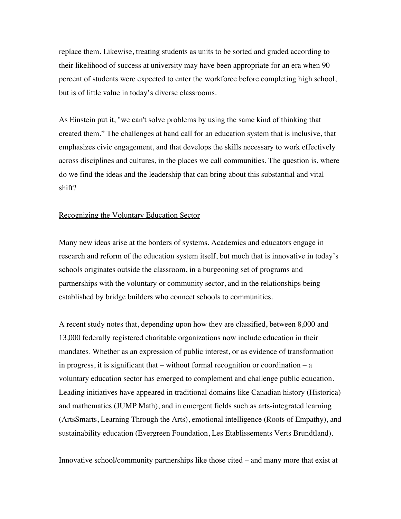replace them. Likewise, treating students as units to be sorted and graded according to their likelihood of success at university may have been appropriate for an era when 90 percent of students were expected to enter the workforce before completing high school, but is of little value in today's diverse classrooms.

As Einstein put it, "we can't solve problems by using the same kind of thinking that created them." The challenges at hand call for an education system that is inclusive, that emphasizes civic engagement, and that develops the skills necessary to work effectively across disciplines and cultures, in the places we call communities. The question is, where do we find the ideas and the leadership that can bring about this substantial and vital shift?

## Recognizing the Voluntary Education Sector

Many new ideas arise at the borders of systems. Academics and educators engage in research and reform of the education system itself, but much that is innovative in today's schools originates outside the classroom, in a burgeoning set of programs and partnerships with the voluntary or community sector, and in the relationships being established by bridge builders who connect schools to communities.

A recent study notes that, depending upon how they are classified, between 8,000 and 13,000 federally registered charitable organizations now include education in their mandates. Whether as an expression of public interest, or as evidence of transformation in progress, it is significant that  $-$  without formal recognition or coordination  $-$  a voluntary education sector has emerged to complement and challenge public education. Leading initiatives have appeared in traditional domains like Canadian history (Historica) and mathematics (JUMP Math), and in emergent fields such as arts-integrated learning (ArtsSmarts, Learning Through the Arts), emotional intelligence (Roots of Empathy), and sustainability education (Evergreen Foundation, Les Etablissements Verts Brundtland).

Innovative school/community partnerships like those cited – and many more that exist at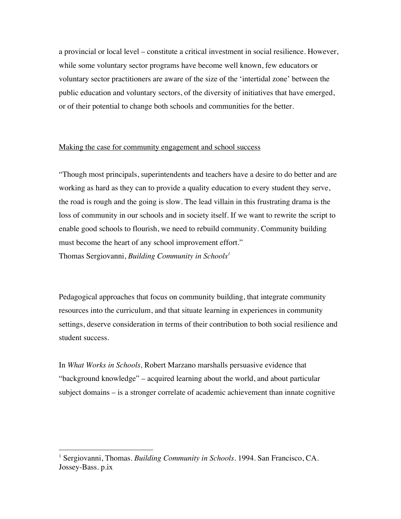a provincial or local level – constitute a critical investment in social resilience. However, while some voluntary sector programs have become well known, few educators or voluntary sector practitioners are aware of the size of the 'intertidal zone' between the public education and voluntary sectors, of the diversity of initiatives that have emerged, or of their potential to change both schools and communities for the better.

### Making the case for community engagement and school success

"Though most principals, superintendents and teachers have a desire to do better and are working as hard as they can to provide a quality education to every student they serve, the road is rough and the going is slow. The lead villain in this frustrating drama is the loss of community in our schools and in society itself. If we want to rewrite the script to enable good schools to flourish, we need to rebuild community. Community building must become the heart of any school improvement effort." Thomas Sergiovanni, *Building Community in Schools<sup>1</sup>*

Pedagogical approaches that focus on community building, that integrate community resources into the curriculum, and that situate learning in experiences in community settings, deserve consideration in terms of their contribution to both social resilience and student success.

In *What Works in Schools,* Robert Marzano marshalls persuasive evidence that "background knowledge" – acquired learning about the world, and about particular subject domains – is a stronger correlate of academic achievement than innate cognitive

 $\overline{a}$ 

<sup>&</sup>lt;sup>1</sup> Sergiovanni, Thomas. *Building Community in Schools*. 1994. San Francisco, CA. Jossey-Bass. p.ix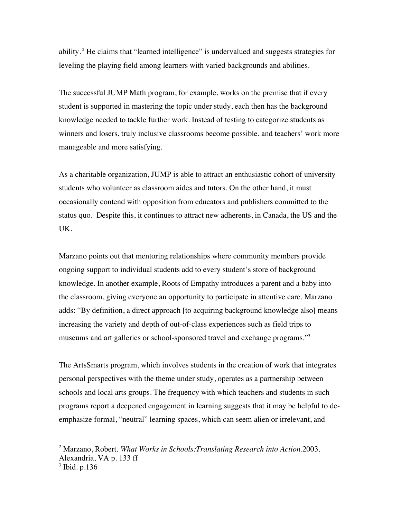ability.<sup>2</sup> He claims that "learned intelligence" is undervalued and suggests strategies for leveling the playing field among learners with varied backgrounds and abilities.

The successful JUMP Math program, for example, works on the premise that if every student is supported in mastering the topic under study, each then has the background knowledge needed to tackle further work. Instead of testing to categorize students as winners and losers, truly inclusive classrooms become possible, and teachers' work more manageable and more satisfying.

As a charitable organization, JUMP is able to attract an enthusiastic cohort of university students who volunteer as classroom aides and tutors. On the other hand, it must occasionally contend with opposition from educators and publishers committed to the status quo. Despite this, it continues to attract new adherents, in Canada, the US and the UK.

Marzano points out that mentoring relationships where community members provide ongoing support to individual students add to every student's store of background knowledge. In another example, Roots of Empathy introduces a parent and a baby into the classroom, giving everyone an opportunity to participate in attentive care. Marzano adds: "By definition, a direct approach [to acquiring background knowledge also] means increasing the variety and depth of out-of-class experiences such as field trips to museums and art galleries or school-sponsored travel and exchange programs."<sup>3</sup>

The ArtsSmarts program, which involves students in the creation of work that integrates personal perspectives with the theme under study, operates as a partnership between schools and local arts groups. The frequency with which teachers and students in such programs report a deepened engagement in learning suggests that it may be helpful to deemphasize formal, "neutral" learning spaces, which can seem alien or irrelevant, and

 $\overline{a}$ 

<sup>2</sup> Marzano, Robert. *What Works in Schools:Translating Research into Action.*2003. Alexandria, VA p. 133 ff

<sup>3</sup> Ibid. p.136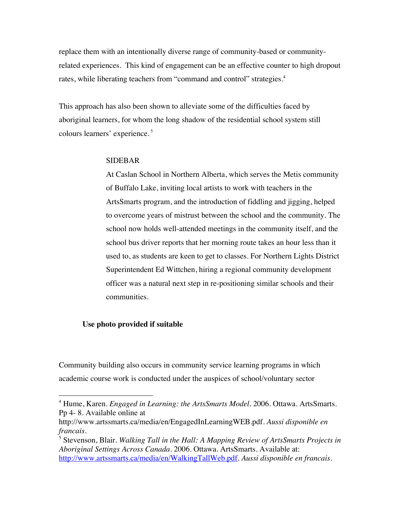replace them with an intentionally diverse range of community-based or communityrelated experiences. This kind of engagement can be an effective counter to high dropout rates, while liberating teachers from "command and control" strategies.<sup>4</sup>

This approach has also been shown to alleviate some of the difficulties faced by aboriginal learners, for whom the long shadow of the residential school system still colours learners' experience. <sup>5</sup>

## SIDEBAR

At Caslan School in Northern Alberta, which serves the Metis community of Buffalo Lake, inviting local artists to work with teachers in the ArtsSmarts program, and the introduction of fiddling and jigging, helped to overcome years of mistrust between the school and the community. The school now holds well-attended meetings in the community itself, and the school bus driver reports that her morning route takes an hour less than it used to, as students are keen to get to classes. For Northern Lights District Superintendent Ed Wittchen, hiring a regional community development officer was a natural next step in re-positioning similar schools and their communities.

# **Use photo provided if suitable**

Community building also occurs in community service learning programs in which academic course work is conducted under the auspices of school/voluntary sector

4 Hume, Karen. *Engaged in Learning: the ArtsSmarts Model.* 2006. Ottawa. ArtsSmarts. Pp 4- 8. Available online at

http://www.artssmarts.ca/media/en/EngagedInLearningWEB.pdf. *Aussi disponible en francais.*

<sup>5</sup> Stevenson, Blair. *Walking Tall in the Hall: A Mapping Review of ArtsSmarts Projects in Aboriginal Settings Across Canada.* 2006. Ottawa. ArtsSmarts. Available at: http://www.artssmarts.ca/media/en/WalkingTallWeb.pdf. *Aussi disponible en francais.*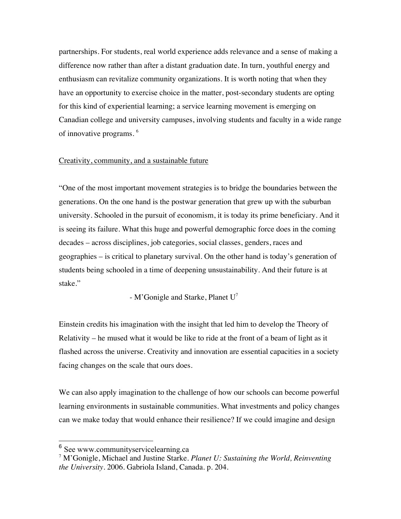partnerships. For students, real world experience adds relevance and a sense of making a difference now rather than after a distant graduation date. In turn, youthful energy and enthusiasm can revitalize community organizations. It is worth noting that when they have an opportunity to exercise choice in the matter, post-secondary students are opting for this kind of experiential learning; a service learning movement is emerging on Canadian college and university campuses, involving students and faculty in a wide range of innovative programs. <sup>6</sup>

### Creativity, community, and a sustainable future

"One of the most important movement strategies is to bridge the boundaries between the generations. On the one hand is the postwar generation that grew up with the suburban university. Schooled in the pursuit of economism, it is today its prime beneficiary. And it is seeing its failure. What this huge and powerful demographic force does in the coming decades – across disciplines, job categories, social classes, genders, races and geographies – is critical to planetary survival. On the other hand is today's generation of students being schooled in a time of deepening unsustainability. And their future is at stake."

- M'Gonigle and Starke, Planet U<sup>7</sup>

Einstein credits his imagination with the insight that led him to develop the Theory of Relativity – he mused what it would be like to ride at the front of a beam of light as it flashed across the universe. Creativity and innovation are essential capacities in a society facing changes on the scale that ours does.

We can also apply imagination to the challenge of how our schools can become powerful learning environments in sustainable communities. What investments and policy changes can we make today that would enhance their resilience? If we could imagine and design

 <sup>6</sup> See www.communityservicelearning.ca

<sup>7</sup> M'Gonigle, Michael and Justine Starke. *Planet U: Sustaining the World, Reinventing the University.* 2006. Gabriola Island, Canada. p. 204.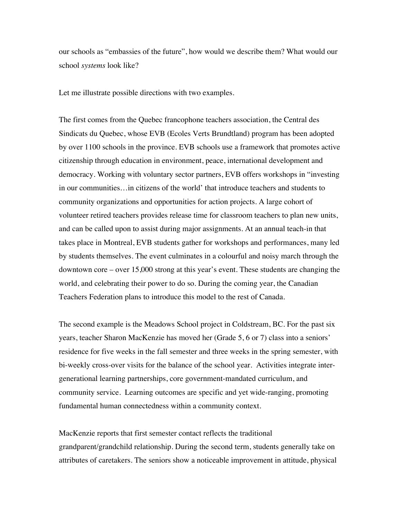our schools as "embassies of the future", how would we describe them? What would our school *systems* look like?

Let me illustrate possible directions with two examples.

The first comes from the Quebec francophone teachers association, the Central des Sindicats du Quebec, whose EVB (Ecoles Verts Brundtland) program has been adopted by over 1100 schools in the province. EVB schools use a framework that promotes active citizenship through education in environment, peace, international development and democracy. Working with voluntary sector partners, EVB offers workshops in "investing in our communities…in citizens of the world' that introduce teachers and students to community organizations and opportunities for action projects. A large cohort of volunteer retired teachers provides release time for classroom teachers to plan new units, and can be called upon to assist during major assignments. At an annual teach-in that takes place in Montreal, EVB students gather for workshops and performances, many led by students themselves. The event culminates in a colourful and noisy march through the downtown core – over 15,000 strong at this year's event. These students are changing the world, and celebrating their power to do so. During the coming year, the Canadian Teachers Federation plans to introduce this model to the rest of Canada.

The second example is the Meadows School project in Coldstream, BC. For the past six years, teacher Sharon MacKenzie has moved her (Grade 5, 6 or 7) class into a seniors' residence for five weeks in the fall semester and three weeks in the spring semester, with bi-weekly cross-over visits for the balance of the school year. Activities integrate intergenerational learning partnerships, core government-mandated curriculum, and community service. Learning outcomes are specific and yet wide-ranging, promoting fundamental human connectedness within a community context.

MacKenzie reports that first semester contact reflects the traditional grandparent/grandchild relationship. During the second term, students generally take on attributes of caretakers. The seniors show a noticeable improvement in attitude, physical